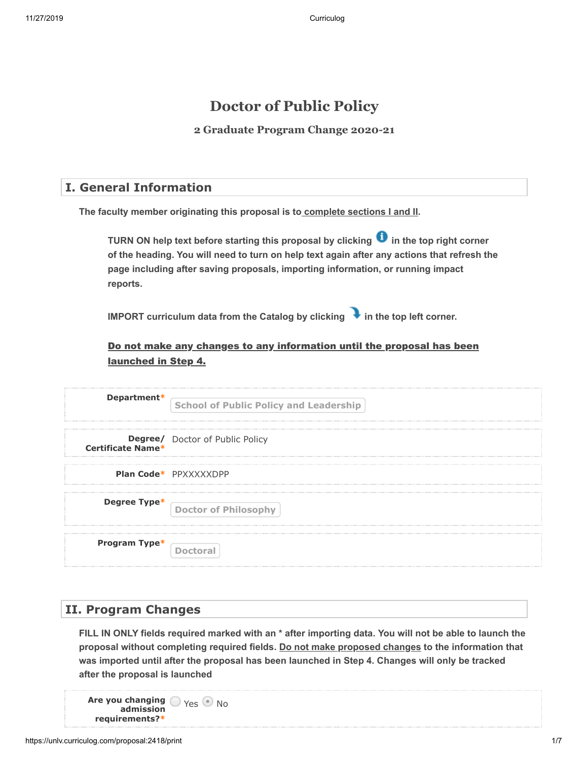## **Doctor of Public Policy**

**2 Graduate Program Change 2020-21**

#### **I. General Information**

**The faculty member originating this proposal is to complete sections I and II.** 

**TURN ON help text before starting this proposal by clicking**  $\bullet$  **in the top right corner of the heading. You will need to turn on help text again after any actions that refresh the page including after saving proposals, importing information, or running impact reports.**

**IMPORT curriculum data from the Catalog by clicking**  in the top left corner.

#### Do not make any changes to any information until the proposal has been launched in Step 4.

| Department*              | <b>School of Public Policy and Leadership</b> |
|--------------------------|-----------------------------------------------|
| <b>Certificate Name*</b> | <b>Degree/</b> Doctor of Public Policy        |
|                          | Plan Code* PPXXXXXDPP                         |
| Degree Type*             | Doctor of Philosophy                          |
| Program Type*            | <b>Doctoral</b>                               |

#### **II. Program Changes**

**FILL IN ONLY fields required marked with an \* after importing data. You will not be able to launch the** proposal without completing required fields. <u>Do not make proposed changes</u> to the information that **was imported until after the proposal has been launched in Step 4. Changes will only be tracked after the proposal is launched**

**Are you changing**  $\bigcirc$  <sub>Yes</sub>  $\bigcirc$  No **admission requirements?\***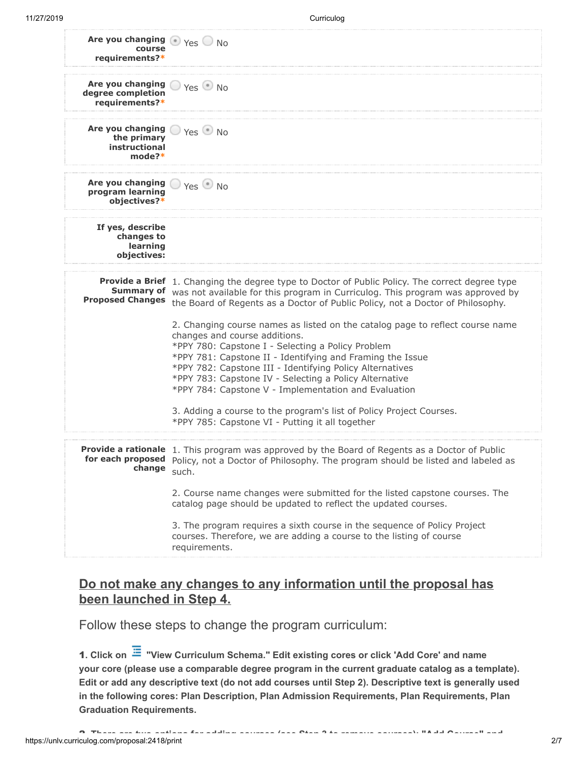| Are you changing $\bigcirc$ Yes $\bigcirc$ No<br>course<br>requirements?*           |                                                                                                                                                                                                                                                                                                                                                                                                                |
|-------------------------------------------------------------------------------------|----------------------------------------------------------------------------------------------------------------------------------------------------------------------------------------------------------------------------------------------------------------------------------------------------------------------------------------------------------------------------------------------------------------|
| Are you changing $\bigcirc$ Yes $\bullet$ No<br>degree completion<br>requirements?* |                                                                                                                                                                                                                                                                                                                                                                                                                |
| Are you changing<br>the primary<br>instructional<br>$mode?*$                        | $\supset$ Yes $\bigcirc$ No                                                                                                                                                                                                                                                                                                                                                                                    |
| Are you changing<br>program learning<br>objectives?*                                | $\Box$ Yes $\odot$ No                                                                                                                                                                                                                                                                                                                                                                                          |
| If yes, describe<br>changes to<br>learning<br>objectives:                           |                                                                                                                                                                                                                                                                                                                                                                                                                |
| <b>Proposed Changes</b>                                                             | <b>Provide a Brief</b> 1. Changing the degree type to Doctor of Public Policy. The correct degree type<br>Summary of was not available for this program in Curriculog. This program was approved by<br>the Board of Regents as a Doctor of Public Policy, not a Doctor of Philosophy.                                                                                                                          |
|                                                                                     | 2. Changing course names as listed on the catalog page to reflect course name<br>changes and course additions.<br>*PPY 780: Capstone I - Selecting a Policy Problem<br>*PPY 781: Capstone II - Identifying and Framing the Issue<br>*PPY 782: Capstone III - Identifying Policy Alternatives<br>*PPY 783: Capstone IV - Selecting a Policy Alternative<br>*PPY 784: Capstone V - Implementation and Evaluation |
|                                                                                     | 3. Adding a course to the program's list of Policy Project Courses.<br>*PPY 785: Capstone VI - Putting it all together                                                                                                                                                                                                                                                                                         |
| change such.                                                                        | <b>Provide a rationale</b> 1. This program was approved by the Board of Regents as a Doctor of Public<br>for each proposed Policy, not a Doctor of Philosophy. The program should be listed and labeled as                                                                                                                                                                                                     |
|                                                                                     | 2. Course name changes were submitted for the listed capstone courses. The<br>catalog page should be updated to reflect the updated courses.                                                                                                                                                                                                                                                                   |
|                                                                                     | 3. The program requires a sixth course in the sequence of Policy Project<br>courses. Therefore, we are adding a course to the listing of course<br>requirements.                                                                                                                                                                                                                                               |

### **Do not make any changes to any information until the proposal has been launched in Step 4.**

Follow these steps to change the program curriculum:

**1. Click on ≔ "View Curriculum Schema." Edit existing cores or click 'Add Core' and name your core (please use a comparable degree program in the current graduate catalog as a template). Edit or add any descriptive text (do not add courses until Step 2). Descriptive text is generally used in the following cores: Plan Description, Plan Admission Requirements, Plan Requirements, Plan Graduation Requirements.**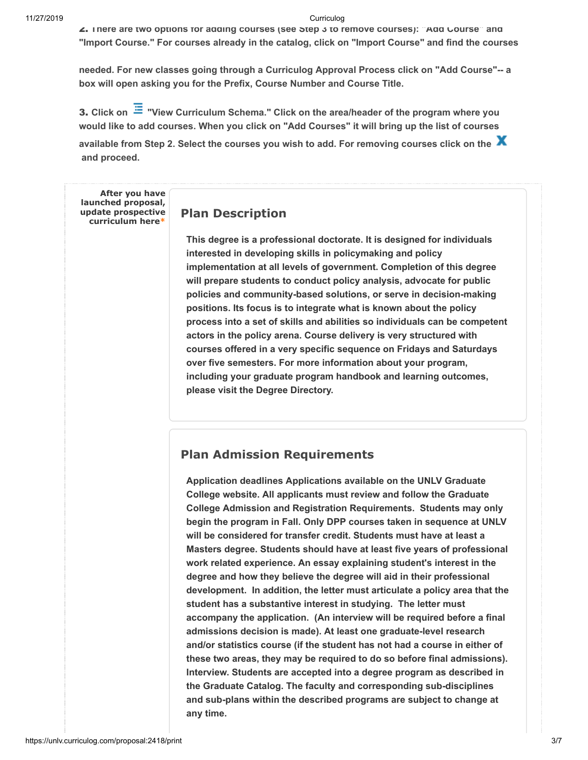∠. There are two options for adding courses (see Step 3 to remove courses): Add Course and **"Import Course." For courses already in the catalog, click on "Import Course" and find the courses**

**needed. For new classes going through a Curriculog Approval Process click on "Add Course"-- a box will open asking you for the Prefix, Course Number and Course Title.**

**Click on "View Curriculum Schema." Click on the area/header of the program where you** 3. **would like to add courses. When you click on "Add Courses" it will bring up the list of courses**

**available from Step 2. Select the courses you wish to add. For removing courses click on the and proceed.**

**After you have launched proposal, update prospective curriculum here\***

#### **Plan Description**

**This degree is a professional doctorate. It is designed for individuals interested in developing skills in policymaking and policy implementation at all levels of government. Completion of this degree will prepare students to conduct policy analysis, advocate for public policies and community-based solutions, or serve in decision-making positions. Its focus is to integrate what is known about the policy process into a set of skills and abilities so individuals can be competent actors in the policy arena. Course delivery is very structured with courses offered in a very specific sequence on Fridays and Saturdays over five semesters. For more information about your program, including your graduate program handbook and learning outcomes, please visit the Degree Directory.**

#### **Plan Admission Requirements**

**Application deadlines Applications available on the UNLV Graduate College website. All applicants must review and follow the Graduate College Admission and Registration Requirements. Students may only begin the program in Fall. Only DPP courses taken in sequence at UNLV will be considered for transfer credit. Students must have at least a Masters degree. Students should have at least five years of professional work related experience. An essay explaining student's interest in the degree and how they believe the degree will aid in their professional development. In addition, the letter must articulate a policy area that the student has a substantive interest in studying. The letter must accompany the application. (An interview will be required before a final admissions decision is made). At least one graduate-level research and/or statistics course (if the student has not had a course in either of these two areas, they may be required to do so before final admissions). Interview. Students are accepted into a degree program as described in the Graduate Catalog. The faculty and corresponding sub-disciplines and sub-plans within the described programs are subject to change at any time.**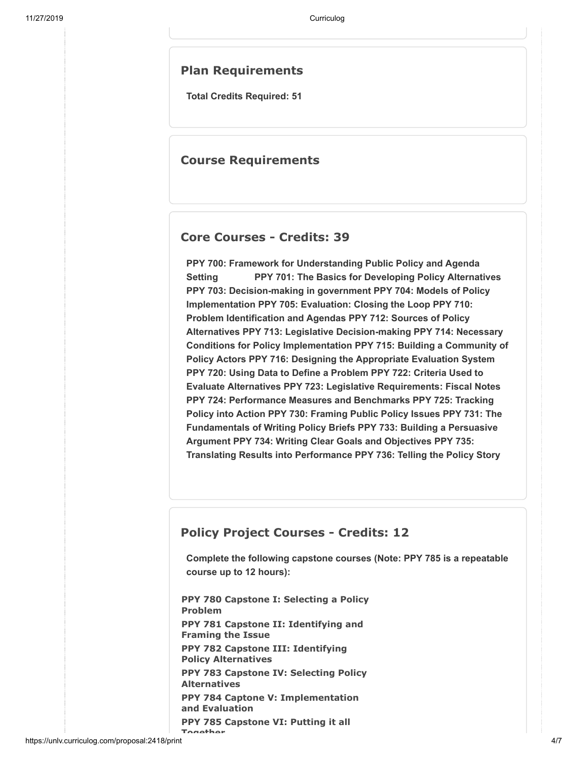#### **Plan Requirements**

**Total Credits Required: 51**

#### **Course Requirements**

#### **Core Courses - Credits: 39**

**PPY 700: Framework for Understanding Public Policy and Agenda Setting PPY 701: The Basics for Developing Policy Alternatives PPY 703: Decision-making in government PPY 704: Models of Policy Implementation PPY 705: Evaluation: Closing the Loop PPY 710: Problem Identification and Agendas PPY 712: Sources of Policy Alternatives PPY 713: Legislative Decision-making PPY 714: Necessary Conditions for Policy Implementation PPY 715: Building a Community of Policy Actors PPY 716: Designing the Appropriate Evaluation System PPY 720: Using Data to Define a Problem PPY 722: Criteria Used to Evaluate Alternatives PPY 723: Legislative Requirements: Fiscal Notes PPY 724: Performance Measures and Benchmarks PPY 725: Tracking Policy into Action PPY 730: Framing Public Policy Issues PPY 731: The Fundamentals of Writing Policy Briefs PPY 733: Building a Persuasive Argument PPY 734: Writing Clear Goals and Objectives PPY 735: Translating Results into Performance PPY 736: Telling the Policy Story** 

#### **Policy Project Courses - Credits: 12**

**Complete the following capstone courses (Note: PPY 785 is a repeatable course up to 12 hours):**

**PPY 780 Capstone I: Selecting a Policy Problem PPY 781 Capstone II: Identifying and Framing the Issue PPY 782 Capstone III: Identifying Policy Alternatives PPY 783 Capstone IV: Selecting Policy Alternatives PPY 784 Captone V: Implementation and Evaluation PPY 785 Capstone VI: Putting it all Together**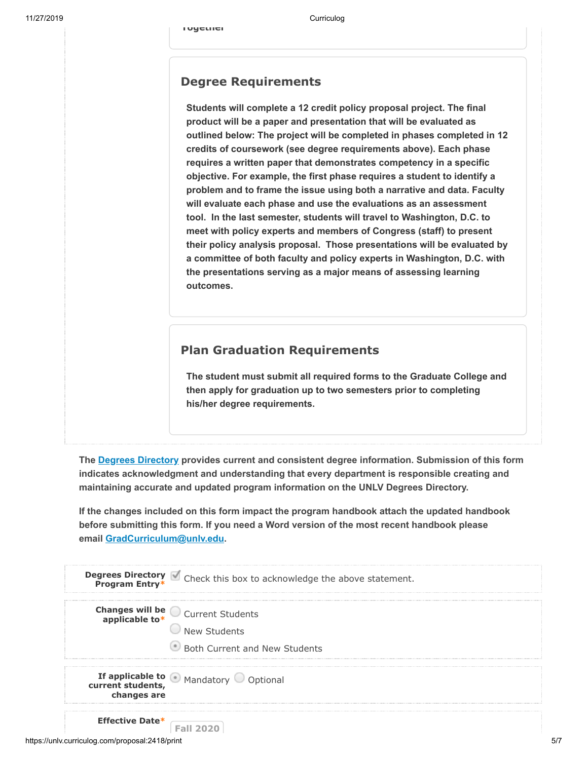# **Degree Requirements**

**Together**

**Students will complete a 12 credit policy proposal project. The final product will be a paper and presentation that will be evaluated as outlined below: The project will be completed in phases completed in 12 credits of coursework (see degree requirements above). Each phase requires a written paper that demonstrates competency in a specific objective. For example, the first phase requires a student to identify a problem and to frame the issue using both a narrative and data. Faculty will evaluate each phase and use the evaluations as an assessment tool. In the last semester, students will travel to Washington, D.C. to meet with policy experts and members of Congress (staff) to present their policy analysis proposal. Those presentations will be evaluated by a committee of both faculty and policy experts in Washington, D.C. with the presentations serving as a major means of assessing learning outcomes.**

## **Plan Graduation Requirements**

**The student must submit all required forms to the Graduate College and then apply for graduation up to two semesters prior to completing his/her degree requirements.**

The<u>Degrees Directory</u> provides current and consistent degree information. Submission of this form **indicates acknowledgment and understanding that every department is responsible creating and maintaining accurate and updated program information on the UNLV Degrees Directory.**

**If the changes included on this form impact the program handbook attach the updated handbook before submitting this form. If you need a Word version of the most recent handbook please email [GradCurriculum@unlv.edu.](mailto:GradCurriculum@unlv.edu?subject=Graduate%20Handbook%20Request)**

|                                                 | <b>Degrees Directory</b> Check this box to acknowledge the above statement.<br><b>Program Entry*</b> |
|-------------------------------------------------|------------------------------------------------------------------------------------------------------|
|                                                 |                                                                                                      |
|                                                 | <b>Changes will be Current Students</b><br><b>applicable to*</b>                                     |
|                                                 | New Students                                                                                         |
|                                                 | Both Current and New Students                                                                        |
| changes are                                     | <b>If applicable to</b> Mandatory Optional<br>current students,                                      |
| <b>Effective Date*</b>                          | <b>Fall 2020</b>                                                                                     |
| https://unlv.curriculog.com/proposal:2418/print |                                                                                                      |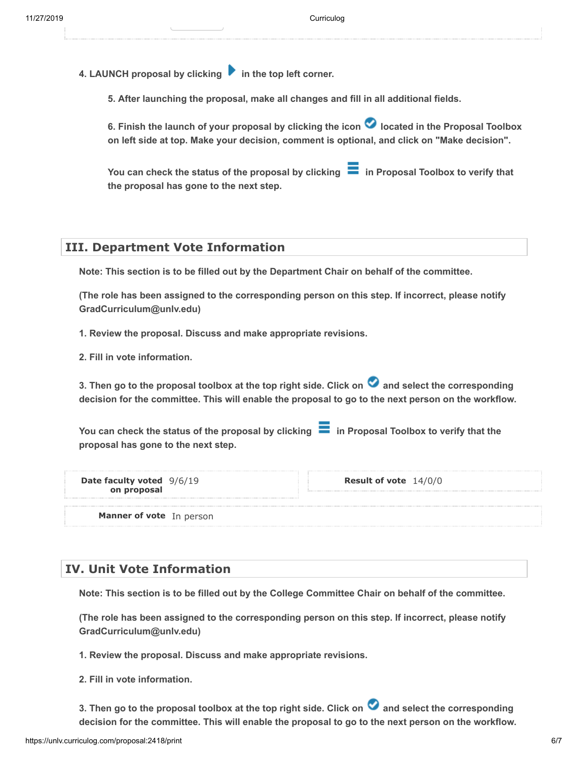4. LAUNCH proposal by clicking **in the top left corner.** 

**5. After launching the proposal, make all changes and fill in all additional fields.** 

6. Finish the launch of your proposal by clicking the icon **O** located in the Proposal Toolbox **on left side at top. Make your decision, comment is optional, and click on "Make decision".**

You can check the status of the proposal by clicking **in Proposal Toolbox to verify that the proposal has gone to the next step.**

#### **III. Department Vote Information**

**Note: This section is to be filled out by the Department Chair on behalf of the committee.** 

**(The role has been assigned to the corresponding person on this step. If incorrect, please notify GradCurriculum@unlv.edu)**

**1. Review the proposal. Discuss and make appropriate revisions.**

**2. Fill in vote information.** 

3. Then go to the proposal toolbox at the top right side. Click on **a** and select the corresponding **decision for the committee. This will enable the proposal to go to the next person on the workflow.** 

You can check the status of the proposal by clicking  $\blacksquare$  in Proposal Toolbox to verify that the **proposal has gone to the next step.**

| <b>Date faculty voted</b> 9/6/19 |  |
|----------------------------------|--|
| on proposal                      |  |

9/6/19 **Result of vote** 14/0/0

**Manner of vote** In person

#### **IV. Unit Vote Information**

**Note: This section is to be filled out by the College Committee Chair on behalf of the committee.** 

**(The role has been assigned to the corresponding person on this step. If incorrect, please notify GradCurriculum@unlv.edu)**

**1. Review the proposal. Discuss and make appropriate revisions.**

**2. Fill in vote information.** 

**3. Then go to the proposal toolbox at the top right side. Click on and select the corresponding decision for the committee. This will enable the proposal to go to the next person on the workflow.**